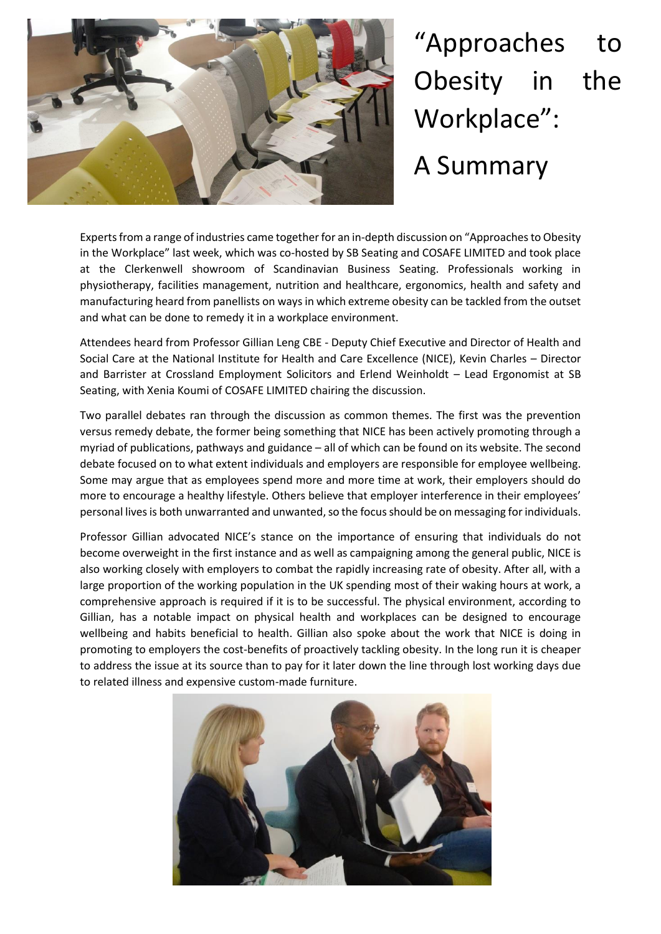

"Approaches to Obesity in the Workplace": A Summary

Experts from a range of industries came together for an in-depth discussion on "Approaches to Obesity in the Workplace" last week, which was co-hosted by SB Seating and COSAFE LIMITED and took place at the Clerkenwell showroom of Scandinavian Business Seating. Professionals working in physiotherapy, facilities management, nutrition and healthcare, ergonomics, health and safety and manufacturing heard from panellists on ways in which extreme obesity can be tackled from the outset and what can be done to remedy it in a workplace environment.

Attendees heard from Professor Gillian Leng CBE - Deputy Chief Executive and Director of Health and Social Care at the National Institute for Health and Care Excellence (NICE), Kevin Charles – Director and Barrister at Crossland Employment Solicitors and Erlend Weinholdt – Lead Ergonomist at SB Seating, with Xenia Koumi of COSAFE LIMITED chairing the discussion.

Two parallel debates ran through the discussion as common themes. The first was the prevention versus remedy debate, the former being something that NICE has been actively promoting through a myriad of publications, pathways and guidance – all of which can be found on its website. The second debate focused on to what extent individuals and employers are responsible for employee wellbeing. Some may argue that as employees spend more and more time at work, their employers should do more to encourage a healthy lifestyle. Others believe that employer interference in their employees' personal lives is both unwarranted and unwanted, so the focus should be on messaging for individuals.

Professor Gillian advocated NICE's stance on the importance of ensuring that individuals do not become overweight in the first instance and as well as campaigning among the general public, NICE is also working closely with employers to combat the rapidly increasing rate of obesity. After all, with a large proportion of the working population in the UK spending most of their waking hours at work, a comprehensive approach is required if it is to be successful. The physical environment, according to Gillian, has a notable impact on physical health and workplaces can be designed to encourage wellbeing and habits beneficial to health. Gillian also spoke about the work that NICE is doing in promoting to employers the cost-benefits of proactively tackling obesity. In the long run it is cheaper to address the issue at its source than to pay for it later down the line through lost working days due to related illness and expensive custom-made furniture.

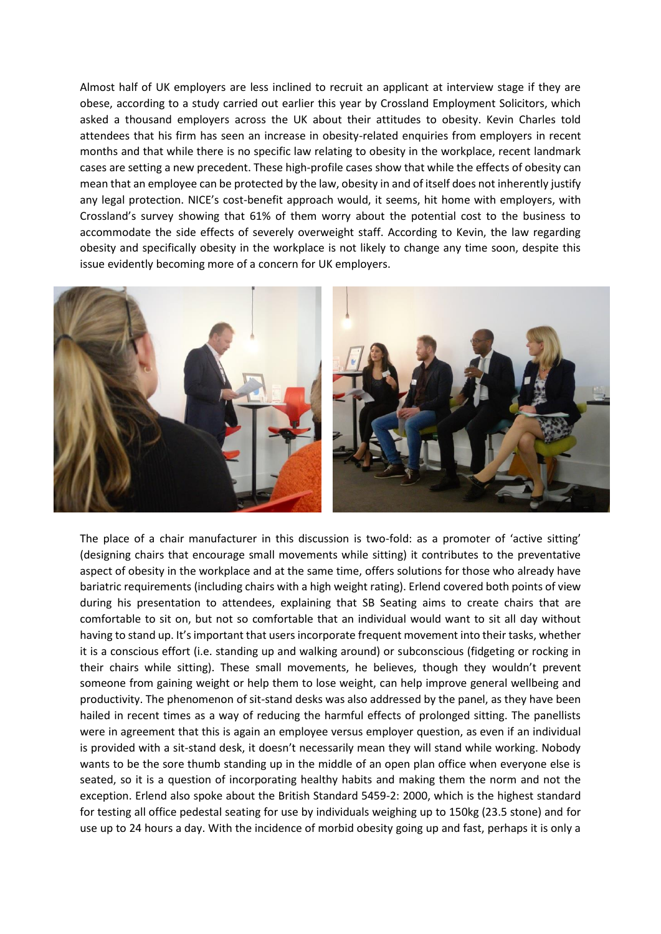Almost half of UK employers are less inclined to recruit an applicant at interview stage if they are obese, according to a study carried out earlier this year by Crossland Employment Solicitors, which asked a thousand employers across the UK about their attitudes to obesity. Kevin Charles told attendees that his firm has seen an increase in obesity-related enquiries from employers in recent months and that while there is no specific law relating to obesity in the workplace, recent landmark cases are setting a new precedent. These high-profile cases show that while the effects of obesity can mean that an employee can be protected by the law, obesity in and of itself does not inherently justify any legal protection. NICE's cost-benefit approach would, it seems, hit home with employers, with Crossland's survey showing that 61% of them worry about the potential cost to the business to accommodate the side effects of severely overweight staff. According to Kevin, the law regarding obesity and specifically obesity in the workplace is not likely to change any time soon, despite this issue evidently becoming more of a concern for UK employers.



The place of a chair manufacturer in this discussion is two-fold: as a promoter of 'active sitting' (designing chairs that encourage small movements while sitting) it contributes to the preventative aspect of obesity in the workplace and at the same time, offers solutions for those who already have bariatric requirements (including chairs with a high weight rating). Erlend covered both points of view during his presentation to attendees, explaining that SB Seating aims to create chairs that are comfortable to sit on, but not so comfortable that an individual would want to sit all day without having to stand up. It's important that users incorporate frequent movement into their tasks, whether it is a conscious effort (i.e. standing up and walking around) or subconscious (fidgeting or rocking in their chairs while sitting). These small movements, he believes, though they wouldn't prevent someone from gaining weight or help them to lose weight, can help improve general wellbeing and productivity. The phenomenon of sit-stand desks was also addressed by the panel, as they have been hailed in recent times as a way of reducing the harmful effects of prolonged sitting. The panellists were in agreement that this is again an employee versus employer question, as even if an individual is provided with a sit-stand desk, it doesn't necessarily mean they will stand while working. Nobody wants to be the sore thumb standing up in the middle of an open plan office when everyone else is seated, so it is a question of incorporating healthy habits and making them the norm and not the exception. Erlend also spoke about the British Standard 5459-2: 2000, which is the highest standard for testing all office pedestal seating for use by individuals weighing up to 150kg (23.5 stone) and for use up to 24 hours a day. With the incidence of morbid obesity going up and fast, perhaps it is only a